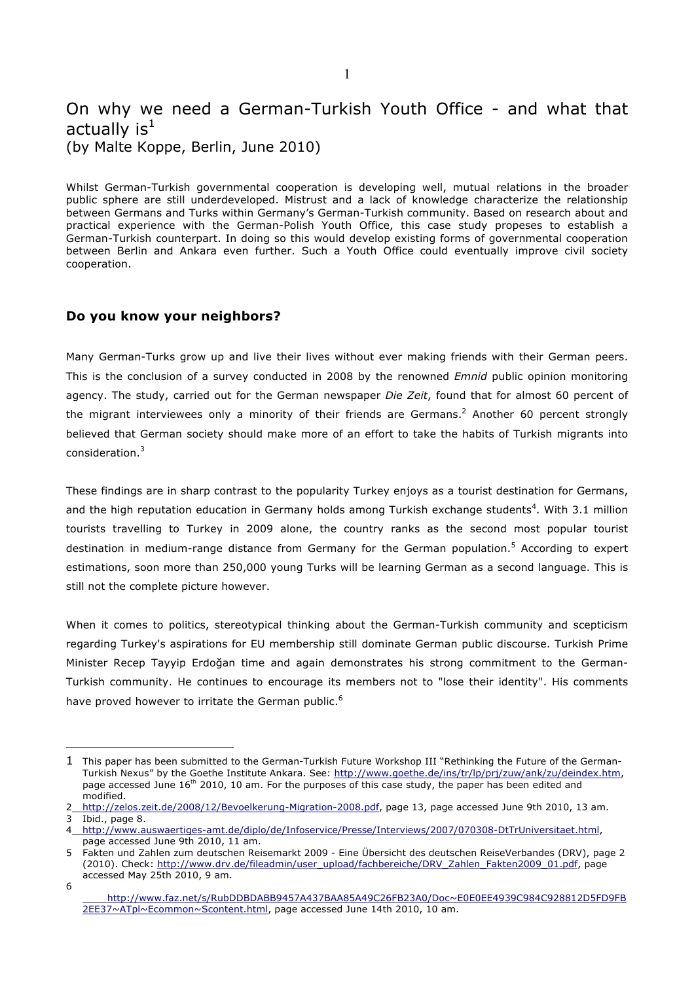# On why we need a German-Turkish Youth Office - and what that actually  $is^1$ (by Malte Koppe, Berlin, June 2010)

Whilst German-Turkish governmental cooperation is developing well, mutual relations in the broader public sphere are still underdeveloped. Mistrust and a lack of knowledge characterize the relationship between Germans and Turks within Germany's German-Turkish community. Based on research about and practical experience with the German-Polish Youth Office, this case study propeses to establish a German-Turkish counterpart. In doing so this would develop existing forms of governmental cooperation between Berlin and Ankara even further. Such a Youth Office could eventually improve civil society cooperation.

### **Do you know your neighbors?**

 $\overline{a}$ 

Many German-Turks grow up and live their lives without ever making friends with their German peers. This is the conclusion of a survey conducted in 2008 by the renowned *Emnid* public opinion monitoring agency. The study, carried out for the German newspaper *Die Zeit*, found that for almost 60 percent of the migrant interviewees only a minority of their friends are Germans.<sup>2</sup> Another 60 percent strongly believed that German society should make more of an effort to take the habits of Turkish migrants into consideration. 3

These findings are in sharp contrast to the popularity Turkey enjoys as a tourist destination for Germans, and the high reputation education in Germany holds among Turkish exchange students<sup>4</sup>. With 3.1 million tourists travelling to Turkey in 2009 alone, the country ranks as the second most popular tourist destination in medium-range distance from Germany for the German population.<sup>5</sup> According to expert estimations, soon more than 250,000 young Turks will be learning German as a second language. This is still not the complete picture however.

When it comes to politics, stereotypical thinking about the German-Turkish community and scepticism regarding Turkey's aspirations for EU membership still dominate German public discourse. Turkish Prime Minister Recep Tayyip Erdoğan time and again demonstrates his strong commitment to the German-Turkish community. He continues to encourage its members not to "lose their identity". His comments have proved however to irritate the German public.<sup>6</sup>

<sup>1</sup> This paper has been submitted to the German-Turkish Future Workshop III "Rethinking the Future of the German-Turkish Nexus" by the Goethe Institute Ankara. See: http://www.goethe.de/ins/tr/lp/prj/zuw/ank/zu/deindex.htm, page accessed June 16<sup>th</sup> 2010, 10 am. For the purposes of this case study, the paper has been edited and modified.

<sup>2</sup> http://zelos.zeit.de/2008/12/Bevoelkerung-Migration-2008.pdf, page 13, page accessed June 9th 2010, 13 am. 3 Ibid., page 8.

<sup>4</sup> http://www.auswaertiges-amt.de/diplo/de/Infoservice/Presse/Interviews/2007/070308-DtTrUniversitaet.html, page accessed June 9th 2010, 11 am.

<sup>5</sup> Fakten und Zahlen zum deutschen Reisemarkt 2009 - Eine Übersicht des deutschen ReiseVerbandes (DRV), page 2 (2010). Check: http://www.drv.de/fileadmin/user\_upload/fachbereiche/DRV\_Zahlen\_Fakten2009\_01.pdf, page accessed May 25th 2010, 9 am. 6

http://www.faz.net/s/RubDDBDABB9457A437BAA85A49C26FB23A0/Doc~E0E0EE4939C984C928812D5FD9FB 2EE37~ATpl~Ecommon~Scontent.html, page accessed June 14th 2010, 10 am.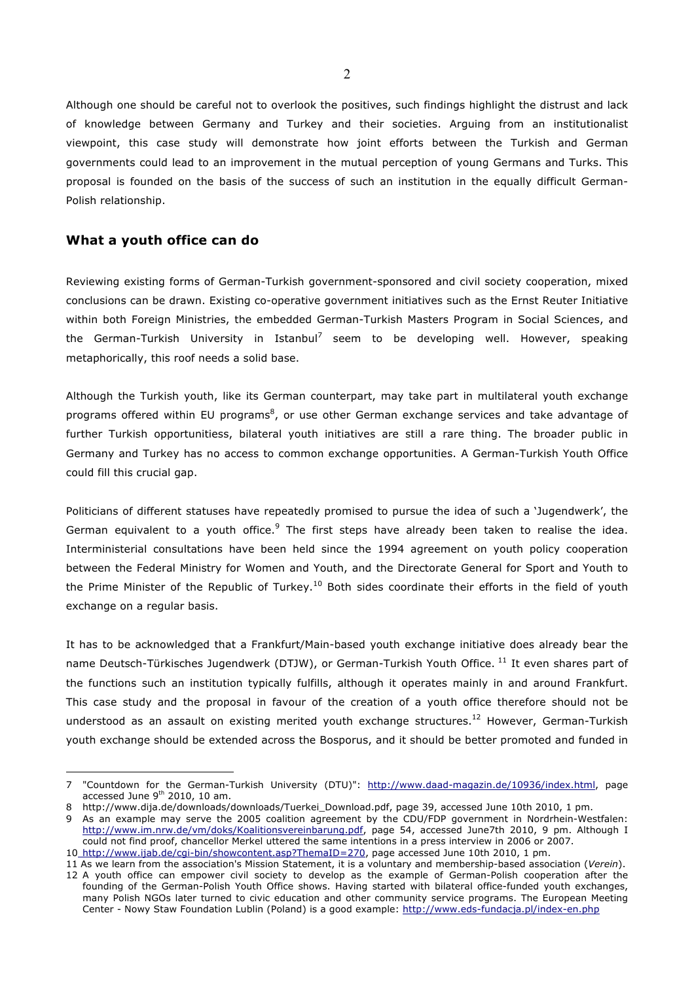Although one should be careful not to overlook the positives, such findings highlight the distrust and lack of knowledge between Germany and Turkey and their societies. Arguing from an institutionalist viewpoint, this case study will demonstrate how joint efforts between the Turkish and German governments could lead to an improvement in the mutual perception of young Germans and Turks. This proposal is founded on the basis of the success of such an institution in the equally difficult German-Polish relationship.

#### **What a youth office can do**

 $\overline{a}$ 

Reviewing existing forms of German-Turkish government-sponsored and civil society cooperation, mixed conclusions can be drawn. Existing co-operative government initiatives such as the Ernst Reuter Initiative within both Foreign Ministries, the embedded German-Turkish Masters Program in Social Sciences, and the German-Turkish University in Istanbul<sup>7</sup> seem to be developing well. However, speaking metaphorically, this roof needs a solid base.

Although the Turkish youth, like its German counterpart, may take part in multilateral youth exchange programs offered within EU programs<sup>8</sup>, or use other German exchange services and take advantage of further Turkish opportunitiess, bilateral youth initiatives are still a rare thing. The broader public in Germany and Turkey has no access to common exchange opportunities. A German-Turkish Youth Office could fill this crucial gap.

Politicians of different statuses have repeatedly promised to pursue the idea of such a 'Jugendwerk', the German equivalent to a youth office.<sup>9</sup> The first steps have already been taken to realise the idea. Interministerial consultations have been held since the 1994 agreement on youth policy cooperation between the Federal Ministry for Women and Youth, and the Directorate General for Sport and Youth to the Prime Minister of the Republic of Turkey.<sup>10</sup> Both sides coordinate their efforts in the field of youth exchange on a regular basis.

It has to be acknowledged that a Frankfurt/Main-based youth exchange initiative does already bear the name Deutsch-Türkisches Jugendwerk (DTJW), or German-Turkish Youth Office. <sup>11</sup> It even shares part of the functions such an institution typically fulfills, although it operates mainly in and around Frankfurt. This case study and the proposal in favour of the creation of a youth office therefore should not be understood as an assault on existing merited youth exchange structures.<sup>12</sup> However, German-Turkish youth exchange should be extended across the Bosporus, and it should be better promoted and funded in

<sup>7</sup> "Countdown for the German-Turkish University (DTU)": http://www.daad-magazin.de/10936/index.html, page accessed June  $9<sup>th</sup>$  2010, 10 am.

<sup>8</sup> http://www.dija.de/downloads/downloads/Tuerkei\_Download.pdf, page 39, accessed June 10th 2010, 1 pm.

<sup>9</sup> As an example may serve the 2005 coalition agreement by the CDU/FDP government in Nordrhein-Westfalen: http://www.im.nrw.de/vm/doks/Koalitionsvereinbarung.pdf, page 54, accessed June7th 2010, 9 pm. Although I could not find proof, chancellor Merkel uttered the same intentions in a press interview in 2006 or 2007.

<sup>10</sup> http://www.ijab.de/cgi-bin/showcontent.asp?ThemaID=270, page accessed June 10th 2010, 1 pm.

<sup>11</sup> As we learn from the association's Mission Statement, it is a voluntary and membership-based association (*Verein*). 12 A youth office can empower civil society to develop as the example of German-Polish cooperation after the founding of the German-Polish Youth Office shows. Having started with bilateral office-funded youth exchanges, many Polish NGOs later turned to civic education and other community service programs. The European Meeting Center - Nowy Staw Foundation Lublin (Poland) is a good example: http://www.eds-fundacja.pl/index-en.php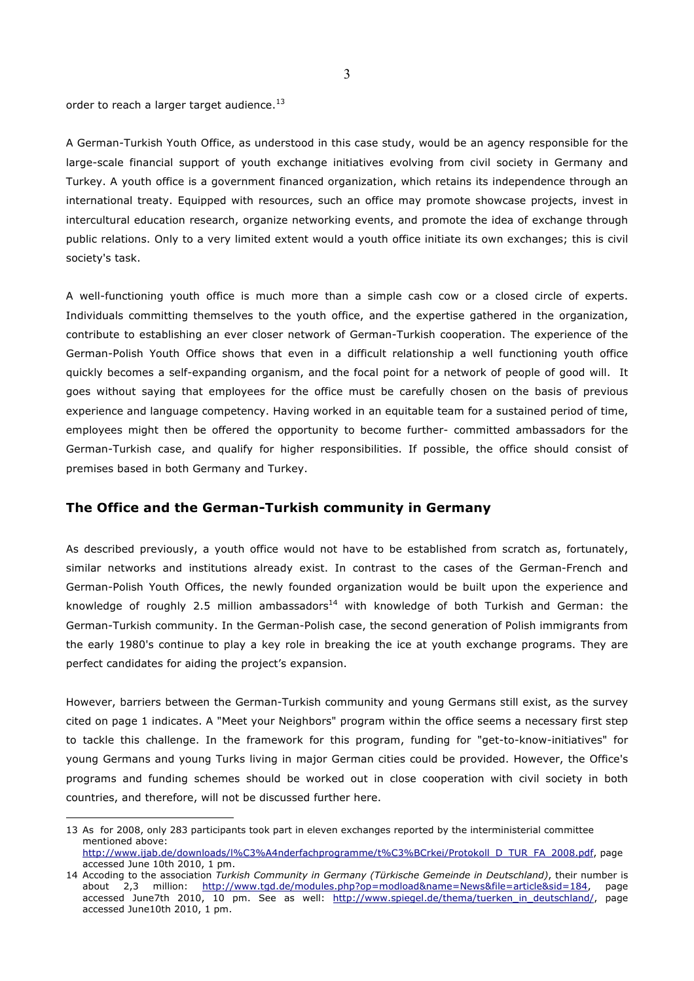order to reach a larger target audience.<sup>13</sup>

 $\overline{a}$ 

A German-Turkish Youth Office, as understood in this case study, would be an agency responsible for the large-scale financial support of youth exchange initiatives evolving from civil society in Germany and Turkey. A youth office is a government financed organization, which retains its independence through an international treaty. Equipped with resources, such an office may promote showcase projects, invest in intercultural education research, organize networking events, and promote the idea of exchange through public relations. Only to a very limited extent would a youth office initiate its own exchanges; this is civil society's task.

A well-functioning youth office is much more than a simple cash cow or a closed circle of experts. Individuals committing themselves to the youth office, and the expertise gathered in the organization, contribute to establishing an ever closer network of German-Turkish cooperation. The experience of the German-Polish Youth Office shows that even in a difficult relationship a well functioning youth office quickly becomes a self-expanding organism, and the focal point for a network of people of good will. It goes without saying that employees for the office must be carefully chosen on the basis of previous experience and language competency. Having worked in an equitable team for a sustained period of time, employees might then be offered the opportunity to become further- committed ambassadors for the German-Turkish case, and qualify for higher responsibilities. If possible, the office should consist of premises based in both Germany and Turkey.

#### **The Office and the German-Turkish community in Germany**

As described previously, a youth office would not have to be established from scratch as, fortunately, similar networks and institutions already exist. In contrast to the cases of the German-French and German-Polish Youth Offices, the newly founded organization would be built upon the experience and knowledge of roughly 2.5 million ambassadors<sup>14</sup> with knowledge of both Turkish and German: the German-Turkish community. In the German-Polish case, the second generation of Polish immigrants from the early 1980's continue to play a key role in breaking the ice at youth exchange programs. They are perfect candidates for aiding the project's expansion.

However, barriers between the German-Turkish community and young Germans still exist, as the survey cited on page 1 indicates. A "Meet your Neighbors" program within the office seems a necessary first step to tackle this challenge. In the framework for this program, funding for "get-to-know-initiatives" for young Germans and young Turks living in major German cities could be provided. However, the Office's programs and funding schemes should be worked out in close cooperation with civil society in both countries, and therefore, will not be discussed further here.

<sup>13</sup> As for 2008, only 283 participants took part in eleven exchanges reported by the interministerial committee mentioned above: http://www.ijab.de/downloads/l%C3%A4nderfachprogramme/t%C3%BCrkei/Protokoll\_D\_TUR\_FA\_2008.pdf, page

accessed June 10th 2010, 1 pm. 14 Accoding to the association *Turkish Community in Germany (Türkische Gemeinde in Deutschland)*, their number is about 2,3 million: http://www.tgd.de/modules.php?op=modload&name=News&file=article&sid=184, page accessed June7th 2010, 10 pm. See as well: http://www.spiegel.de/thema/tuerken in deutschland/, page accessed June10th 2010, 1 pm.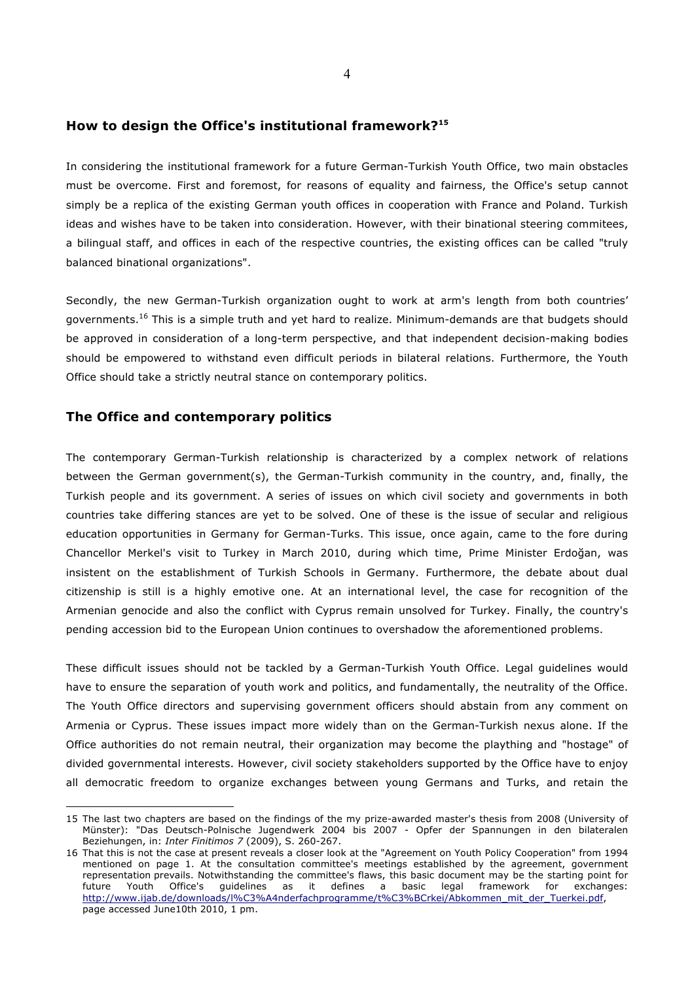#### **How to design the Office's institutional framework?15**

In considering the institutional framework for a future German-Turkish Youth Office, two main obstacles must be overcome. First and foremost, for reasons of equality and fairness, the Office's setup cannot simply be a replica of the existing German youth offices in cooperation with France and Poland. Turkish ideas and wishes have to be taken into consideration. However, with their binational steering commitees, a bilingual staff, and offices in each of the respective countries, the existing offices can be called "truly balanced binational organizations".

Secondly, the new German-Turkish organization ought to work at arm's length from both countries' governments.16 This is a simple truth and yet hard to realize. Minimum-demands are that budgets should be approved in consideration of a long-term perspective, and that independent decision-making bodies should be empowered to withstand even difficult periods in bilateral relations. Furthermore, the Youth Office should take a strictly neutral stance on contemporary politics.

#### **The Office and contemporary politics**

 $\overline{a}$ 

The contemporary German-Turkish relationship is characterized by a complex network of relations between the German government(s), the German-Turkish community in the country, and, finally, the Turkish people and its government. A series of issues on which civil society and governments in both countries take differing stances are yet to be solved. One of these is the issue of secular and religious education opportunities in Germany for German-Turks. This issue, once again, came to the fore during Chancellor Merkel's visit to Turkey in March 2010, during which time, Prime Minister Erdoğan, was insistent on the establishment of Turkish Schools in Germany. Furthermore, the debate about dual citizenship is still is a highly emotive one. At an international level, the case for recognition of the Armenian genocide and also the conflict with Cyprus remain unsolved for Turkey. Finally, the country's pending accession bid to the European Union continues to overshadow the aforementioned problems.

These difficult issues should not be tackled by a German-Turkish Youth Office. Legal guidelines would have to ensure the separation of youth work and politics, and fundamentally, the neutrality of the Office. The Youth Office directors and supervising government officers should abstain from any comment on Armenia or Cyprus. These issues impact more widely than on the German-Turkish nexus alone. If the Office authorities do not remain neutral, their organization may become the plaything and "hostage" of divided governmental interests. However, civil society stakeholders supported by the Office have to enjoy all democratic freedom to organize exchanges between young Germans and Turks, and retain the

<sup>15</sup> The last two chapters are based on the findings of the my prize-awarded master's thesis from 2008 (University of Münster): "Das Deutsch-Polnische Jugendwerk 2004 bis 2007 - Opfer der Spannungen in den bilateralen Beziehungen, in: *Inter Finitimos 7* (2009), S. 260-267.

<sup>16</sup> That this is not the case at present reveals a closer look at the "Agreement on Youth Policy Cooperation" from 1994 mentioned on page 1. At the consultation committee's meetings established by the agreement, government representation prevails. Notwithstanding the committee's flaws, this basic document may be the starting point for future Youth Office's guidelines as it defines a basic legal framework for exchanges: http://www.ijab.de/downloads/l%C3%A4nderfachprogramme/t%C3%BCrkei/Abkommen\_mit\_der\_Tuerkei.pdf, page accessed June10th 2010, 1 pm.